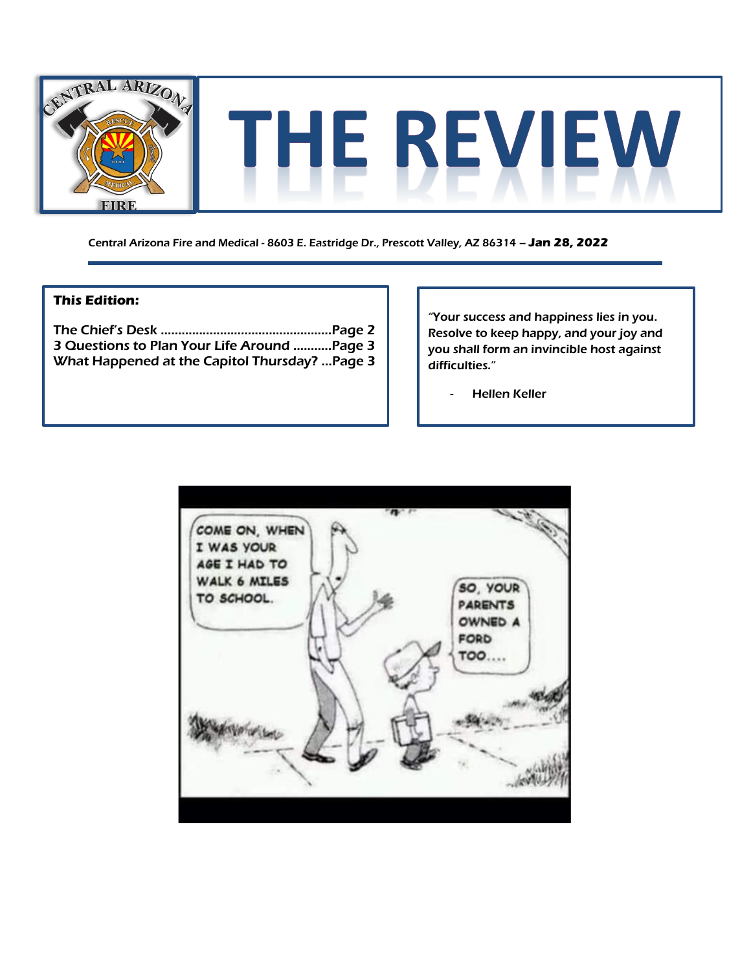

Central Arizona Fire and Medical - 8603 E. Eastridge Dr., Prescott Valley, AZ 86314 – **Jan 28, 2022**

### **This Edition:**

The Chief's Desk ………………………………..………..Page 2 3 Questions to Plan Your Life Around .....…...Page 3 What Happened at the Capitol Thursday? ...Page 3

"Your success and happiness lies in you. Resolve to keep happy, and your joy and you shall form an invincible host against difficulties."

- Hellen Keller

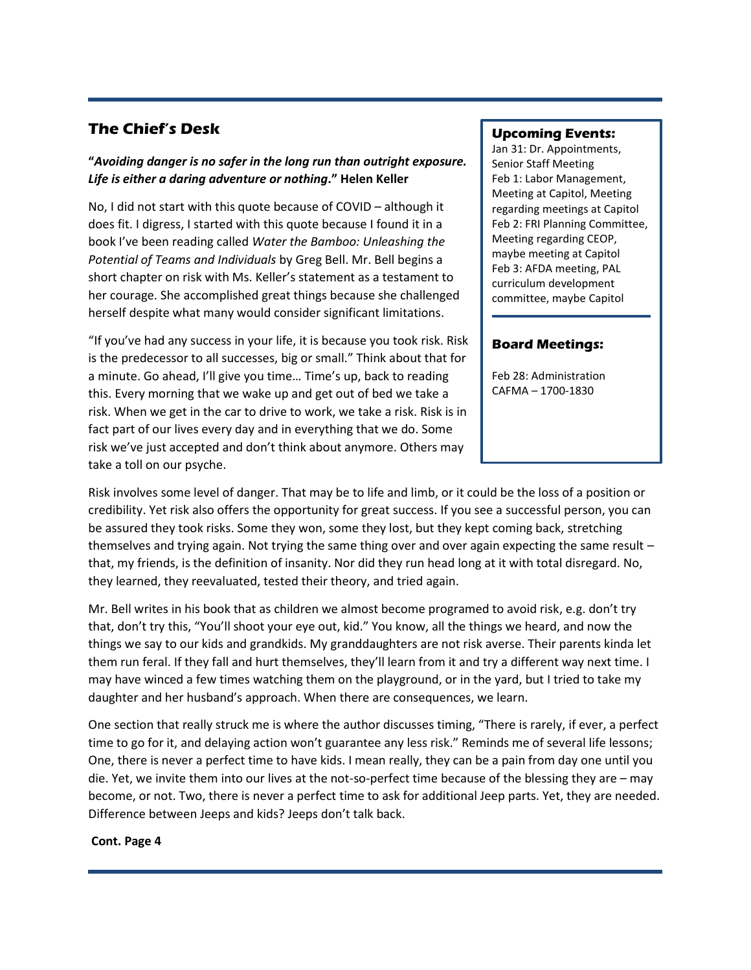## **The Chief's Desk**

### **"***Avoiding danger is no safer in the long run than outright exposure. Life is either a daring adventure or nothing***." Helen Keller**

No, I did not start with this quote because of COVID – although it does fit. I digress, I started with this quote because I found it in a book I've been reading called *Water the Bamboo: Unleashing the Potential of Teams and Individuals* by Greg Bell. Mr. Bell begins a short chapter on risk with Ms. Keller's statement as a testament to her courage. She accomplished great things because she challenged herself despite what many would consider significant limitations.

"If you've had any success in your life, it is because you took risk. Risk is the predecessor to all successes, big or small." Think about that for a minute. Go ahead, I'll give you time… Time's up, back to reading this. Every morning that we wake up and get out of bed we take a risk. When we get in the car to drive to work, we take a risk. Risk is in fact part of our lives every day and in everything that we do. Some risk we've just accepted and don't think about anymore. Others may take a toll on our psyche.

### **Upcoming Events:**

Jan 31: Dr. Appointments, Senior Staff Meeting Feb 1: Labor Management, Meeting at Capitol, Meeting regarding meetings at Capitol Feb 2: FRI Planning Committee, Meeting regarding CEOP, maybe meeting at Capitol Feb 3: AFDA meeting, PAL curriculum development committee, maybe Capitol

#### **Board Meetings:**

Feb 28: Administration CAFMA – 1700-1830

Risk involves some level of danger. That may be to life and limb, or it could be the loss of a position or credibility. Yet risk also offers the opportunity for great success. If you see a successful person, you can be assured they took risks. Some they won, some they lost, but they kept coming back, stretching themselves and trying again. Not trying the same thing over and over again expecting the same result – that, my friends, is the definition of insanity. Nor did they run head long at it with total disregard. No, they learned, they reevaluated, tested their theory, and tried again.

Mr. Bell writes in his book that as children we almost become programed to avoid risk, e.g. don't try that, don't try this, "You'll shoot your eye out, kid." You know, all the things we heard, and now the things we say to our kids and grandkids. My granddaughters are not risk averse. Their parents kinda let them run feral. If they fall and hurt themselves, they'll learn from it and try a different way next time. I may have winced a few times watching them on the playground, or in the yard, but I tried to take my daughter and her husband's approach. When there are consequences, we learn.

One section that really struck me is where the author discusses timing, "There is rarely, if ever, a perfect time to go for it, and delaying action won't guarantee any less risk." Reminds me of several life lessons; One, there is never a perfect time to have kids. I mean really, they can be a pain from day one until you die. Yet, we invite them into our lives at the not-so-perfect time because of the blessing they are – may become, or not. Two, there is never a perfect time to ask for additional Jeep parts. Yet, they are needed. Difference between Jeeps and kids? Jeeps don't talk back.

#### **Cont. Page 4**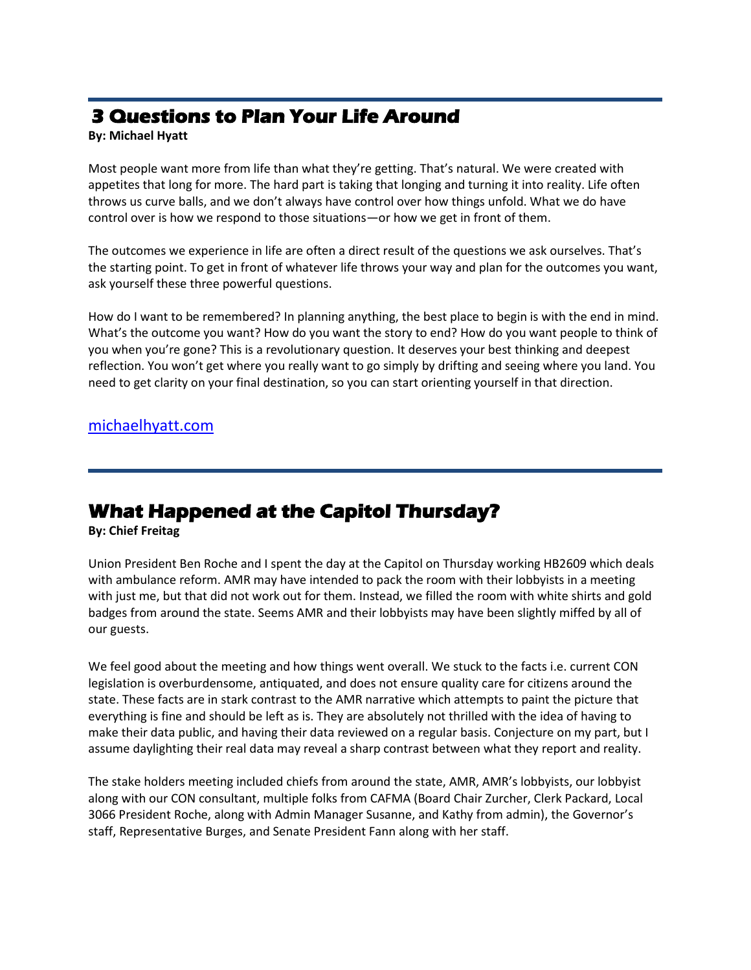# **3 Questions to Plan Your Life Around**

### **By: Michael Hyatt**

Most people want more from life than what they're getting. That's natural. We were created with appetites that long for more. The hard part is taking that longing and turning it into reality. Life often throws us curve balls, and we don't always have control over how things unfold. What we do have control over is how we respond to those situations—or how we get in front of them.

The outcomes we experience in life are often a direct result of the questions we ask ourselves. That's the starting point. To get in front of whatever life throws your way and plan for the outcomes you want, ask yourself these three powerful questions.

How do I want to be remembered? In planning anything, the best place to begin is with the end in mind. What's the outcome you want? How do you want the story to end? How do you want people to think of you when you're gone? This is a revolutionary question. It deserves your best thinking and deepest reflection. You won't get where you really want to go simply by drifting and seeing where you land. You need to get clarity on your final destination, so you can start orienting yourself in that direction.

### [michaelhyatt.com](https://michaelhyatt.com/3-questions-to-plan-your-life-around/)

## **What Happened at the Capitol Thursday?**

**By: Chief Freitag**

Union President Ben Roche and I spent the day at the Capitol on Thursday working HB2609 which deals with ambulance reform. AMR may have intended to pack the room with their lobbyists in a meeting with just me, but that did not work out for them. Instead, we filled the room with white shirts and gold badges from around the state. Seems AMR and their lobbyists may have been slightly miffed by all of our guests.

We feel good about the meeting and how things went overall. We stuck to the facts i.e. current CON legislation is overburdensome, antiquated, and does not ensure quality care for citizens around the state. These facts are in stark contrast to the AMR narrative which attempts to paint the picture that everything is fine and should be left as is. They are absolutely not thrilled with the idea of having to make their data public, and having their data reviewed on a regular basis. Conjecture on my part, but I assume daylighting their real data may reveal a sharp contrast between what they report and reality.

The stake holders meeting included chiefs from around the state, AMR, AMR's lobbyists, our lobbyist along with our CON consultant, multiple folks from CAFMA (Board Chair Zurcher, Clerk Packard, Local 3066 President Roche, along with Admin Manager Susanne, and Kathy from admin), the Governor's staff, Representative Burges, and Senate President Fann along with her staff.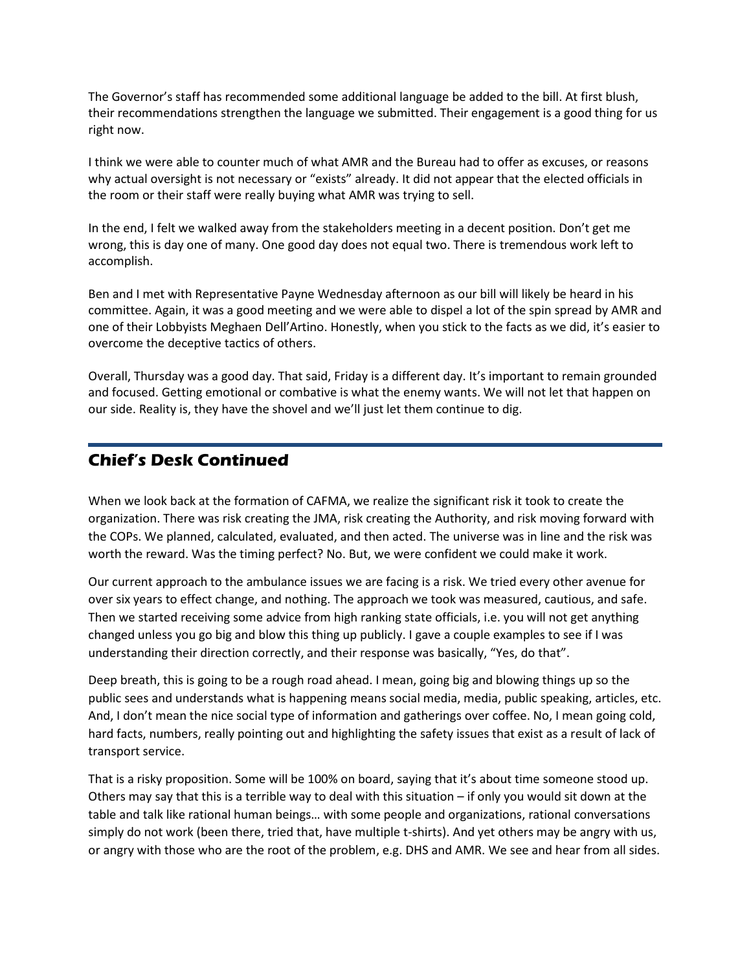The Governor's staff has recommended some additional language be added to the bill. At first blush, their recommendations strengthen the language we submitted. Their engagement is a good thing for us right now.

I think we were able to counter much of what AMR and the Bureau had to offer as excuses, or reasons why actual oversight is not necessary or "exists" already. It did not appear that the elected officials in the room or their staff were really buying what AMR was trying to sell.

In the end, I felt we walked away from the stakeholders meeting in a decent position. Don't get me wrong, this is day one of many. One good day does not equal two. There is tremendous work left to accomplish.

Ben and I met with Representative Payne Wednesday afternoon as our bill will likely be heard in his committee. Again, it was a good meeting and we were able to dispel a lot of the spin spread by AMR and one of their Lobbyists Meghaen Dell'Artino. Honestly, when you stick to the facts as we did, it's easier to overcome the deceptive tactics of others.

Overall, Thursday was a good day. That said, Friday is a different day. It's important to remain grounded and focused. Getting emotional or combative is what the enemy wants. We will not let that happen on our side. Reality is, they have the shovel and we'll just let them continue to dig.

## **Chief's Desk Continued**

When we look back at the formation of CAFMA, we realize the significant risk it took to create the organization. There was risk creating the JMA, risk creating the Authority, and risk moving forward with the COPs. We planned, calculated, evaluated, and then acted. The universe was in line and the risk was worth the reward. Was the timing perfect? No. But, we were confident we could make it work.

Our current approach to the ambulance issues we are facing is a risk. We tried every other avenue for over six years to effect change, and nothing. The approach we took was measured, cautious, and safe. Then we started receiving some advice from high ranking state officials, i.e. you will not get anything changed unless you go big and blow this thing up publicly. I gave a couple examples to see if I was understanding their direction correctly, and their response was basically, "Yes, do that".

Deep breath, this is going to be a rough road ahead. I mean, going big and blowing things up so the public sees and understands what is happening means social media, media, public speaking, articles, etc. And, I don't mean the nice social type of information and gatherings over coffee. No, I mean going cold, hard facts, numbers, really pointing out and highlighting the safety issues that exist as a result of lack of transport service.

That is a risky proposition. Some will be 100% on board, saying that it's about time someone stood up. Others may say that this is a terrible way to deal with this situation – if only you would sit down at the table and talk like rational human beings… with some people and organizations, rational conversations simply do not work (been there, tried that, have multiple t-shirts). And yet others may be angry with us, or angry with those who are the root of the problem, e.g. DHS and AMR. We see and hear from all sides.